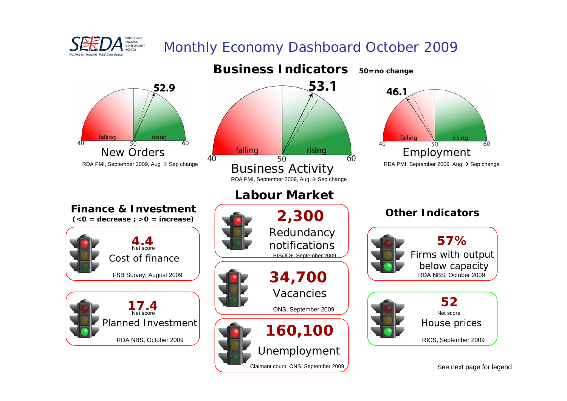

# Monthly Economy Dashboard October 2009



See next page for legend